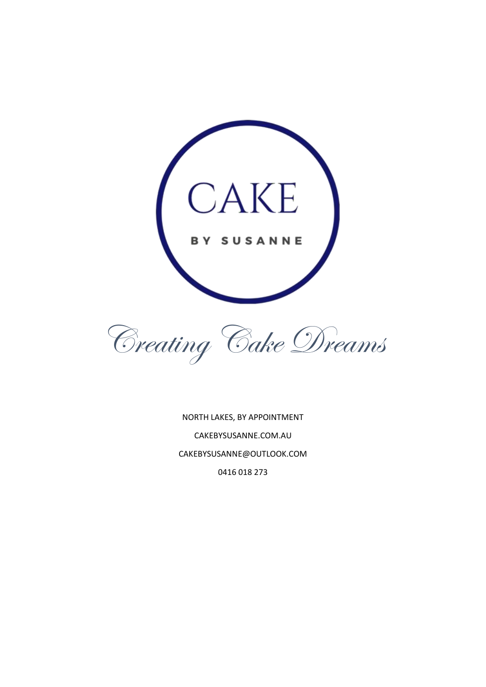



NORTH LAKES, BY APPOINTMENT CAKEBYSUSANNE.COM.AU CAKEBYSUSANNE@OUTLOOK.COM 0416 018 273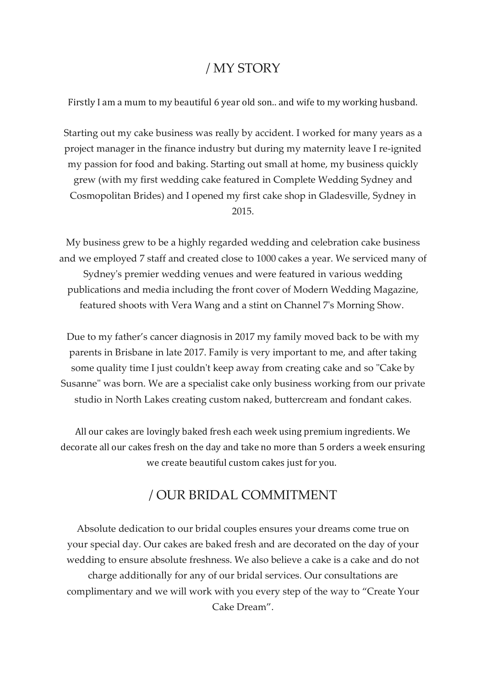### / MY STORY

Firstly I am a mum to my beautiful 6 year old son.. and wife to my working husband.

Starting out my cake business was really by accident. I worked for many years as a project manager in the finance industry but during my maternity leave I re-ignited my passion for food and baking. Starting out small at home, my business quickly grew (with my first wedding cake featured in Complete Wedding Sydney and Cosmopolitan Brides) and I opened my first cake shop in Gladesville, Sydney in 2015.

My business grew to be a highly regarded wedding and celebration cake business and we employed 7 staff and created close to 1000 cakes a year. We serviced many of Sydney's premier wedding venues and were featured in various wedding publications and media including the front cover of Modern Wedding Magazine, featured shoots with Vera Wang and a stint on Channel 7's Morning Show.

Due to my father's cancer diagnosis in 2017 my family moved back to be with my parents in Brisbane in late 2017. Family is very important to me, and after taking some quality time I just couldn't keep away from creating cake and so "Cake by Susanne" was born. We are a specialist cake only business working from our private studio in North Lakes creating custom naked, buttercream and fondant cakes.

All our cakes are lovingly baked fresh each week using premium ingredients. We decorate all our cakes fresh on the day and take no more than 5 orders a week ensuring we create beautiful custom cakes just for you.

### / OUR BRIDAL COMMITMENT

Absolute dedication to our bridal couples ensures your dreams come true on your special day. Our cakes are baked fresh and are decorated on the day of your wedding to ensure absolute freshness. We also believe a cake is a cake and do not charge additionally for any of our bridal services. Our consultations are complimentary and we will work with you every step of the way to "Create Your Cake Dream".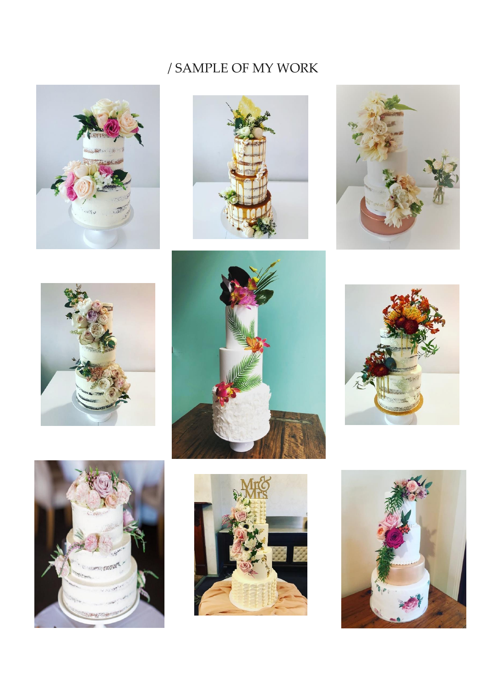# / SAMPLE OF MY WORK

















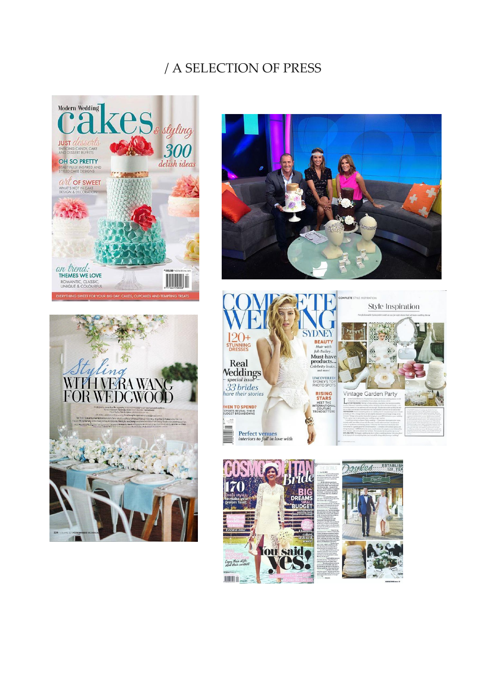## / A SELECTION OF PRESS